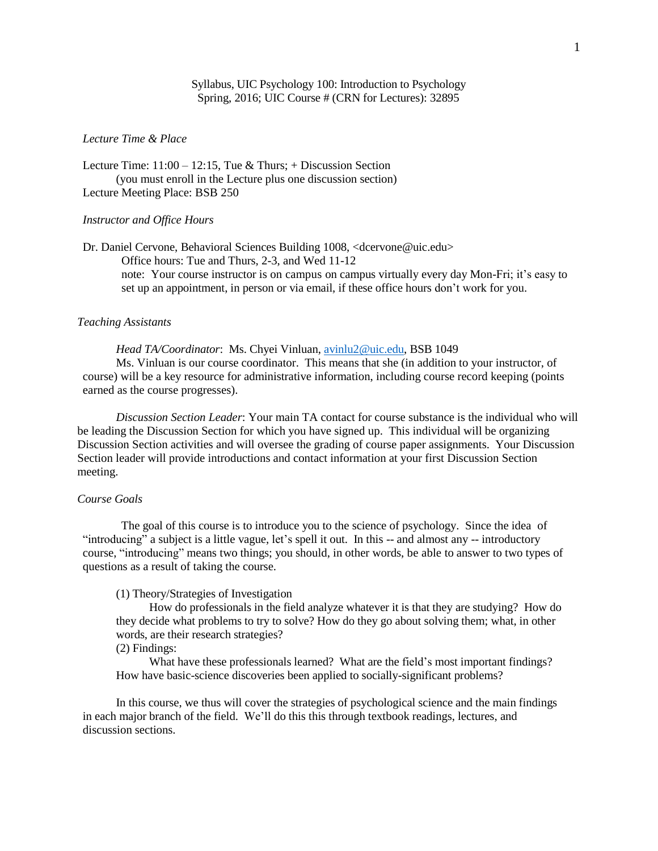# Syllabus, UIC Psychology 100: Introduction to Psychology Spring, 2016; UIC Course # (CRN for Lectures): 32895

### *Lecture Time & Place*

Lecture Time:  $11:00 - 12:15$ , Tue & Thurs; + Discussion Section (you must enroll in the Lecture plus one discussion section) Lecture Meeting Place: BSB 250

### *Instructor and Office Hours*

Dr. Daniel Cervone, Behavioral Sciences Building 1008, [<dcervone@uic.edu>](mailto:dcervone@uic.edu) Office hours: Tue and Thurs, 2-3, and Wed 11-12 note: Your course instructor is on campus on campus virtually every day Mon-Fri; it's easy to set up an appointment, in person or via email, if these office hours don't work for you.

#### *Teaching Assistants*

*Head TA/Coordinator*: Ms. Chyei Vinluan, [avinlu2@uic.edu,](mailto:avinlu2@uic.edu) BSB 1049

Ms. Vinluan is our course coordinator. This means that she (in addition to your instructor, of course) will be a key resource for administrative information, including course record keeping (points earned as the course progresses).

*Discussion Section Leader*: Your main TA contact for course substance is the individual who will be leading the Discussion Section for which you have signed up. This individual will be organizing Discussion Section activities and will oversee the grading of course paper assignments. Your Discussion Section leader will provide introductions and contact information at your first Discussion Section meeting.

#### *Course Goals*

The goal of this course is to introduce you to the science of psychology. Since the idea of "introducing" a subject is a little vague, let's spell it out. In this -- and almost any -- introductory course, "introducing" means two things; you should, in other words, be able to answer to two types of questions as a result of taking the course.

# (1) Theory/Strategies of Investigation

How do professionals in the field analyze whatever it is that they are studying? How do they decide what problems to try to solve? How do they go about solving them; what, in other words, are their research strategies?

(2) Findings:

What have these professionals learned? What are the field's most important findings? How have basic-science discoveries been applied to socially-significant problems?

In this course, we thus will cover the strategies of psychological science and the main findings in each major branch of the field. We'll do this this through textbook readings, lectures, and discussion sections.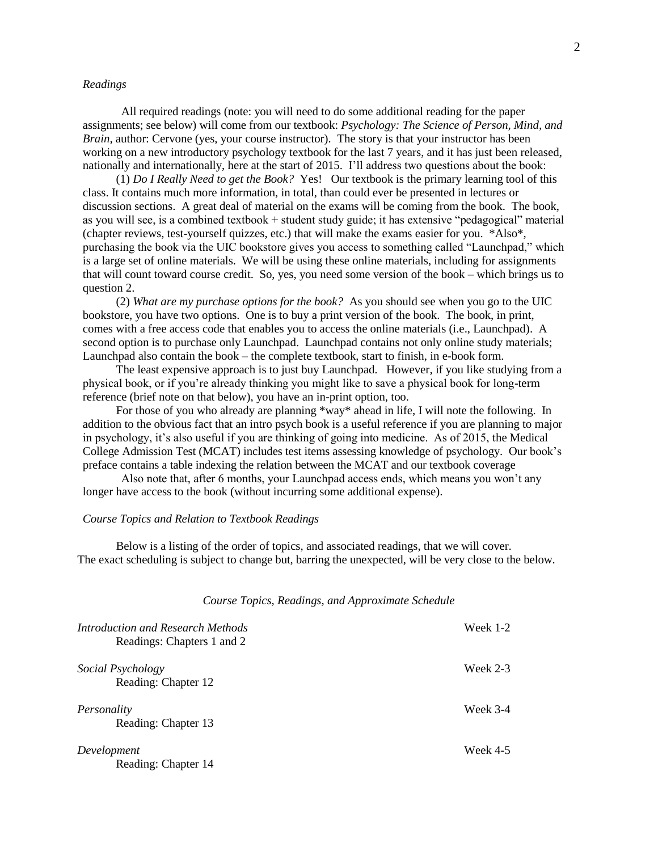#### *Readings*

All required readings (note: you will need to do some additional reading for the paper assignments; see below) will come from our textbook: *Psychology: The Science of Person, Mind, and Brain*, author: Cervone (yes, your course instructor). The story is that your instructor has been working on a new introductory psychology textbook for the last 7 years, and it has just been released, nationally and internationally, here at the start of 2015. I'll address two questions about the book:

(1) *Do I Really Need to get the Book?* Yes! Our textbook is the primary learning tool of this class. It contains much more information, in total, than could ever be presented in lectures or discussion sections. A great deal of material on the exams will be coming from the book. The book, as you will see, is a combined textbook + student study guide; it has extensive "pedagogical" material (chapter reviews, test-yourself quizzes, etc.) that will make the exams easier for you. \*Also\*, purchasing the book via the UIC bookstore gives you access to something called "Launchpad," which is a large set of online materials. We will be using these online materials, including for assignments that will count toward course credit. So, yes, you need some version of the book – which brings us to question 2.

(2) *What are my purchase options for the book?* As you should see when you go to the UIC bookstore, you have two options. One is to buy a print version of the book. The book, in print, comes with a free access code that enables you to access the online materials (i.e., Launchpad). A second option is to purchase only Launchpad. Launchpad contains not only online study materials; Launchpad also contain the book – the complete textbook, start to finish, in e-book form.

The least expensive approach is to just buy Launchpad. However, if you like studying from a physical book, or if you're already thinking you might like to save a physical book for long-term reference (brief note on that below), you have an in-print option, too.

For those of you who already are planning \*way\* ahead in life, I will note the following. In addition to the obvious fact that an intro psych book is a useful reference if you are planning to major in psychology, it's also useful if you are thinking of going into medicine. As of 2015, the Medical College Admission Test (MCAT) includes test items assessing knowledge of psychology. Our book's preface contains a table indexing the relation between the MCAT and our textbook coverage

Also note that, after 6 months, your Launchpad access ends, which means you won't any longer have access to the book (without incurring some additional expense).

### *Course Topics and Relation to Textbook Readings*

Below is a listing of the order of topics, and associated readings, that we will cover. The exact scheduling is subject to change but, barring the unexpected, will be very close to the below.

*Course Topics, Readings, and Approximate Schedule*

| Introduction and Research Methods<br>Readings: Chapters 1 and 2 | Week 1-2 |
|-----------------------------------------------------------------|----------|
| Social Psychology<br>Reading: Chapter 12                        | Week 2-3 |
| Personality<br>Reading: Chapter 13                              | Week 3-4 |
| Development<br>Reading: Chapter 14                              | Week 4-5 |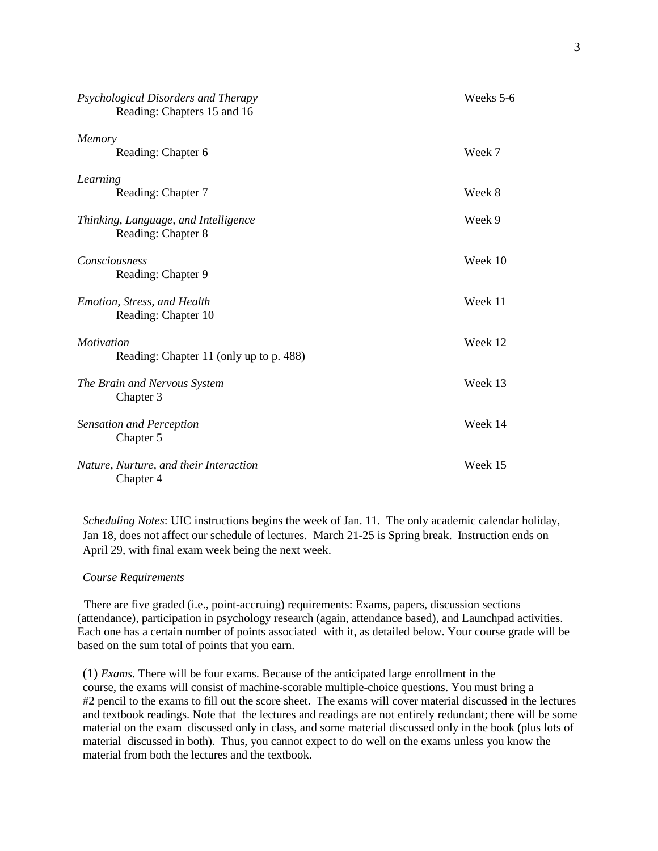| Psychological Disorders and Therapy<br>Reading: Chapters 15 and 16 | Weeks 5-6 |
|--------------------------------------------------------------------|-----------|
| Memory<br>Reading: Chapter 6                                       | Week 7    |
| Learning<br>Reading: Chapter 7                                     | Week 8    |
| Thinking, Language, and Intelligence<br>Reading: Chapter 8         | Week 9    |
| Consciousness<br>Reading: Chapter 9                                | Week 10   |
| Emotion, Stress, and Health<br>Reading: Chapter 10                 | Week 11   |
| <i>Motivation</i><br>Reading: Chapter 11 (only up to p. 488)       | Week 12   |
| The Brain and Nervous System<br>Chapter 3                          | Week 13   |
| <b>Sensation and Perception</b><br>Chapter 5                       | Week 14   |
| Nature, Nurture, and their Interaction<br>Chapter 4                | Week 15   |

*Scheduling Notes*: UIC instructions begins the week of Jan. 11. The only academic calendar holiday, Jan 18, does not affect our schedule of lectures. March 21-25 is Spring break. Instruction ends on April 29, with final exam week being the next week.

#### *Course Requirements*

There are five graded (i.e., point-accruing) requirements: Exams, papers, discussion sections (attendance), participation in psychology research (again, attendance based), and Launchpad activities. Each one has a certain number of points associated with it, as detailed below. Your course grade will be based on the sum total of points that you earn.

(1) *Exams*. There will be four exams. Because of the anticipated large enrollment in the course, the exams will consist of machine-scorable multiple-choice questions. You must bring a #2 pencil to the exams to fill out the score sheet. The exams will cover material discussed in the lectures and textbook readings. Note that the lectures and readings are not entirely redundant; there will be some material on the exam discussed only in class, and some material discussed only in the book (plus lots of material discussed in both). Thus, you cannot expect to do well on the exams unless you know the material from both the lectures and the textbook.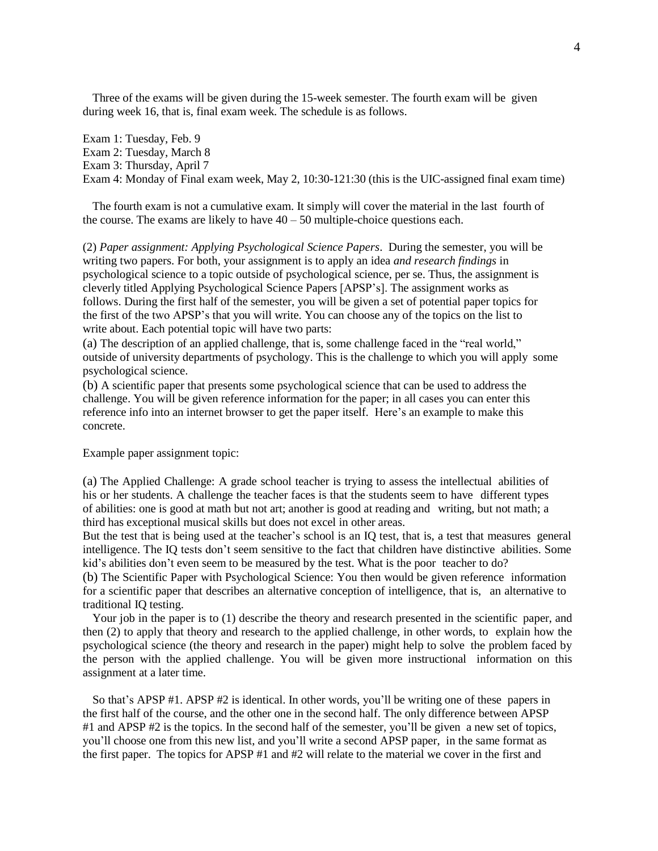Three of the exams will be given during the 15-week semester. The fourth exam will be given during week 16, that is, final exam week. The schedule is as follows.

Exam 1: Tuesday, Feb. 9 Exam 2: Tuesday, March 8 Exam 3: Thursday, April 7 Exam 4: Monday of Final exam week, May 2, 10:30-121:30 (this is the UIC-assigned final exam time)

The fourth exam is not a cumulative exam. It simply will cover the material in the last fourth of the course. The exams are likely to have  $40 - 50$  multiple-choice questions each.

(2) *Paper assignment: Applying Psychological Science Papers*. During the semester, you will be writing two papers. For both, your assignment is to apply an idea *and research findings* in psychological science to a topic outside of psychological science, per se. Thus, the assignment is cleverly titled Applying Psychological Science Papers [APSP's]. The assignment works as follows. During the first half of the semester, you will be given a set of potential paper topics for the first of the two APSP's that you will write. You can choose any of the topics on the list to write about. Each potential topic will have two parts:

(a) The description of an applied challenge, that is, some challenge faced in the "real world," outside of university departments of psychology. This is the challenge to which you will apply some psychological science.

(b) A scientific paper that presents some psychological science that can be used to address the challenge. You will be given reference information for the paper; in all cases you can enter this reference info into an internet browser to get the paper itself. Here's an example to make this concrete.

Example paper assignment topic:

(a) The Applied Challenge: A grade school teacher is trying to assess the intellectual abilities of his or her students. A challenge the teacher faces is that the students seem to have different types of abilities: one is good at math but not art; another is good at reading and writing, but not math; a third has exceptional musical skills but does not excel in other areas.

But the test that is being used at the teacher's school is an IQ test, that is, a test that measures general intelligence. The IQ tests don't seem sensitive to the fact that children have distinctive abilities. Some kid's abilities don't even seem to be measured by the test. What is the poor teacher to do?

(b) The Scientific Paper with Psychological Science: You then would be given reference information for a scientific paper that describes an alternative conception of intelligence, that is, an alternative to traditional IQ testing.

Your job in the paper is to  $(1)$  describe the theory and research presented in the scientific paper, and then (2) to apply that theory and research to the applied challenge, in other words, to explain how the psychological science (the theory and research in the paper) might help to solve the problem faced by the person with the applied challenge. You will be given more instructional information on this assignment at a later time.

So that's APSP #1. APSP #2 is identical. In other words, you'll be writing one of these papers in the first half of the course, and the other one in the second half. The only difference between APSP #1 and APSP #2 is the topics. In the second half of the semester, you'll be given a new set of topics, you'll choose one from this new list, and you'll write a second APSP paper, in the same format as the first paper. The topics for APSP #1 and #2 will relate to the material we cover in the first and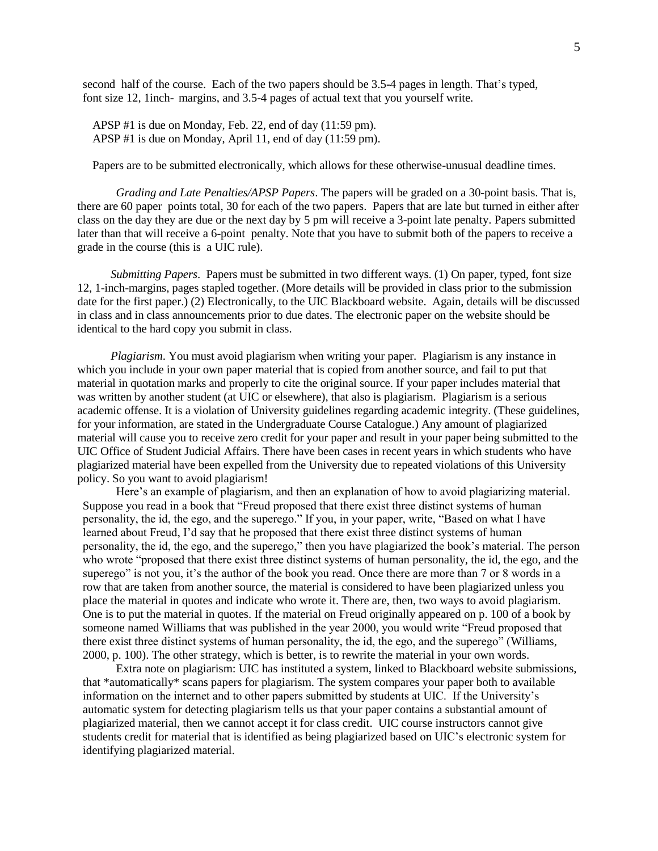second half of the course. Each of the two papers should be 3.5-4 pages in length. That's typed, font size 12, 1inch- margins, and 3.5-4 pages of actual text that you yourself write.

APSP #1 is due on Monday, Feb. 22, end of day (11:59 pm). APSP #1 is due on Monday, April 11, end of day (11:59 pm).

Papers are to be submitted electronically, which allows for these otherwise-unusual deadline times.

*Grading and Late Penalties/APSP Papers*. The papers will be graded on a 30-point basis. That is, there are 60 paper points total, 30 for each of the two papers. Papers that are late but turned in either after class on the day they are due or the next day by 5 pm will receive a 3-point late penalty. Papers submitted later than that will receive a 6-point penalty. Note that you have to submit both of the papers to receive a grade in the course (this is a UIC rule).

*Submitting Papers*. Papers must be submitted in two different ways. (1) On paper, typed, font size 12, 1-inch-margins, pages stapled together. (More details will be provided in class prior to the submission date for the first paper.) (2) Electronically, to the UIC Blackboard website. Again, details will be discussed in class and in class announcements prior to due dates. The electronic paper on the website should be identical to the hard copy you submit in class.

*Plagiarism*. You must avoid plagiarism when writing your paper. Plagiarism is any instance in which you include in your own paper material that is copied from another source, and fail to put that material in quotation marks and properly to cite the original source. If your paper includes material that was written by another student (at UIC or elsewhere), that also is plagiarism. Plagiarism is a serious academic offense. It is a violation of University guidelines regarding academic integrity. (These guidelines, for your information, are stated in the Undergraduate Course Catalogue.) Any amount of plagiarized material will cause you to receive zero credit for your paper and result in your paper being submitted to the UIC Office of Student Judicial Affairs. There have been cases in recent years in which students who have plagiarized material have been expelled from the University due to repeated violations of this University policy. So you want to avoid plagiarism!

Here's an example of plagiarism, and then an explanation of how to avoid plagiarizing material. Suppose you read in a book that "Freud proposed that there exist three distinct systems of human personality, the id, the ego, and the superego." If you, in your paper, write, "Based on what I have learned about Freud, I'd say that he proposed that there exist three distinct systems of human personality, the id, the ego, and the superego," then you have plagiarized the book's material. The person who wrote "proposed that there exist three distinct systems of human personality, the id, the ego, and the superego" is not you, it's the author of the book you read. Once there are more than 7 or 8 words in a row that are taken from another source, the material is considered to have been plagiarized unless you place the material in quotes and indicate who wrote it. There are, then, two ways to avoid plagiarism. One is to put the material in quotes. If the material on Freud originally appeared on p. 100 of a book by someone named Williams that was published in the year 2000, you would write "Freud proposed that there exist three distinct systems of human personality, the id, the ego, and the superego" (Williams, 2000, p. 100). The other strategy, which is better, is to rewrite the material in your own words.

Extra note on plagiarism: UIC has instituted a system, linked to Blackboard website submissions, that \*automatically\* scans papers for plagiarism. The system compares your paper both to available information on the internet and to other papers submitted by students at UIC. If the University's automatic system for detecting plagiarism tells us that your paper contains a substantial amount of plagiarized material, then we cannot accept it for class credit. UIC course instructors cannot give students credit for material that is identified as being plagiarized based on UIC's electronic system for identifying plagiarized material.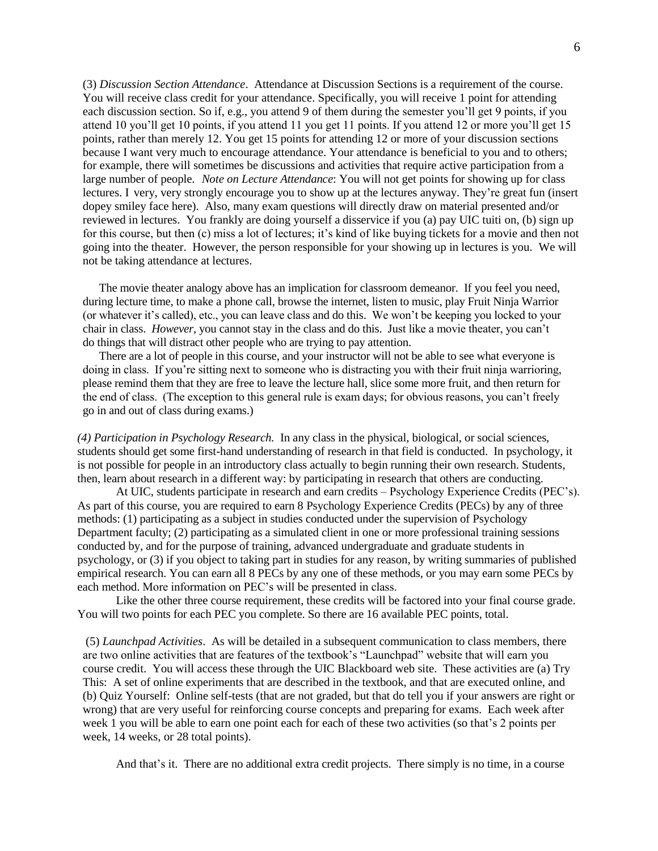(3) *Discussion Section Attendance*. Attendance at Discussion Sections is a requirement of the course. You will receive class credit for your attendance. Specifically, you will receive 1 point for attending each discussion section. So if, e.g., you attend 9 of them during the semester you'll get 9 points, if you attend 10 you'll get 10 points, if you attend 11 you get 11 points. If you attend 12 or more you'll get 15 points, rather than merely 12. You get 15 points for attending 12 or more of your discussion sections because I want very much to encourage attendance. Your attendance is beneficial to you and to others; for example, there will sometimes be discussions and activities that require active participation from a large number of people. *Note on Lecture Attendance*: You will not get points for showing up for class lectures. I very, very strongly encourage you to show up at the lectures anyway. They're great fun (insert dopey smiley face here). Also, many exam questions will directly draw on material presented and/or reviewed in lectures. You frankly are doing yourself a disservice if you (a) pay UIC tuiti on, (b) sign up for this course, but then (c) miss a lot of lectures; it's kind of like buying tickets for a movie and then not going into the theater. However, the person responsible for your showing up in lectures is you. We will not be taking attendance at lectures.

The movie theater analogy above has an implication for classroom demeanor. If you feel you need, during lecture time, to make a phone call, browse the internet, listen to music, play Fruit Ninja Warrior (or whatever it's called), etc., you can leave class and do this. We won't be keeping you locked to your chair in class. *However*, you cannot stay in the class and do this. Just like a movie theater, you can't do things that will distract other people who are trying to pay attention.

There are a lot of people in this course, and your instructor will not be able to see what everyone is doing in class. If you're sitting next to someone who is distracting you with their fruit ninja warrioring, please remind them that they are free to leave the lecture hall, slice some more fruit, and then return for the end of class. (The exception to this general rule is exam days; for obvious reasons, you can't freely go in and out of class during exams.)

*(4) Participation in Psychology Research.* In any class in the physical, biological, or social sciences, students should get some first-hand understanding of research in that field is conducted. In psychology, it is not possible for people in an introductory class actually to begin running their own research. Students, then, learn about research in a different way: by participating in research that others are conducting.

At UIC, students participate in research and earn credits – Psychology Experience Credits (PEC's). As part of this course, you are required to earn 8 Psychology Experience Credits (PECs) by any of three methods: (1) participating as a subject in studies conducted under the supervision of Psychology Department faculty; (2) participating as a simulated client in one or more professional training sessions conducted by, and for the purpose of training, advanced undergraduate and graduate students in psychology, or (3) if you object to taking part in studies for any reason, by writing summaries of published empirical research. You can earn all 8 PECs by any one of these methods, or you may earn some PECs by each method. More information on PEC's will be presented in class.

Like the other three course requirement, these credits will be factored into your final course grade. You will two points for each PEC you complete. So there are 16 available PEC points, total.

(5) *Launchpad Activities*. As will be detailed in a subsequent communication to class members, there are two online activities that are features of the textbook's "Launchpad" website that will earn you course credit. You will access these through the UIC Blackboard web site. These activities are (a) Try This: A set of online experiments that are described in the textbook, and that are executed online, and (b) Quiz Yourself: Online self-tests (that are not graded, but that do tell you if your answers are right or wrong) that are very useful for reinforcing course concepts and preparing for exams. Each week after week 1 you will be able to earn one point each for each of these two activities (so that's 2 points per week, 14 weeks, or 28 total points).

And that's it. There are no additional extra credit projects. There simply is no time, in a course